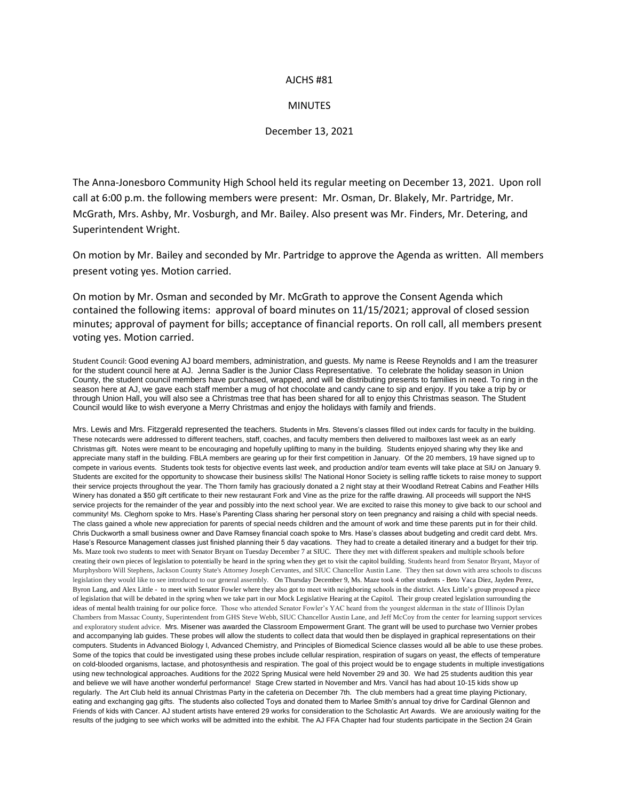## AJCHS #81

## **MINUTES**

## December 13, 2021

The Anna-Jonesboro Community High School held its regular meeting on December 13, 2021. Upon roll call at 6:00 p.m. the following members were present: Mr. Osman, Dr. Blakely, Mr. Partridge, Mr. McGrath, Mrs. Ashby, Mr. Vosburgh, and Mr. Bailey. Also present was Mr. Finders, Mr. Detering, and Superintendent Wright.

On motion by Mr. Bailey and seconded by Mr. Partridge to approve the Agenda as written. All members present voting yes. Motion carried.

On motion by Mr. Osman and seconded by Mr. McGrath to approve the Consent Agenda which contained the following items: approval of board minutes on 11/15/2021; approval of closed session minutes; approval of payment for bills; acceptance of financial reports. On roll call, all members present voting yes. Motion carried.

Student Council: Good evening AJ board members, administration, and guests. My name is Reese Reynolds and I am the treasurer for the student council here at AJ. Jenna Sadler is the Junior Class Representative. To celebrate the holiday season in Union County, the student council members have purchased, wrapped, and will be distributing presents to families in need. To ring in the season here at AJ, we gave each staff member a mug of hot chocolate and candy cane to sip and enjoy. If you take a trip by or through Union Hall, you will also see a Christmas tree that has been shared for all to enjoy this Christmas season. The Student Council would like to wish everyone a Merry Christmas and enjoy the holidays with family and friends.

Mrs. Lewis and Mrs. Fitzgerald represented the teachers. Students in Mrs. Stevens's classes filled out index cards for faculty in the building. These notecards were addressed to different teachers, staff, coaches, and faculty members then delivered to mailboxes last week as an early Christmas gift. Notes were meant to be encouraging and hopefully uplifting to many in the building. Students enjoyed sharing why they like and appreciate many staff in the building. FBLA members are gearing up for their first competition in January. Of the 20 members, 19 have signed up to compete in various events. Students took tests for objective events last week, and production and/or team events will take place at SIU on January 9. Students are excited for the opportunity to showcase their business skills! The National Honor Society is selling raffle tickets to raise money to support their service projects throughout the year. The Thorn family has graciously donated a 2 night stay at their Woodland Retreat Cabins and Feather Hills Winery has donated a \$50 gift certificate to their new restaurant Fork and Vine as the prize for the raffle drawing. All proceeds will support the NHS service projects for the remainder of the year and possibly into the next school year. We are excited to raise this money to give back to our school and community! Ms. Cleghorn spoke to Mrs. Hase's Parenting Class sharing her personal story on teen pregnancy and raising a child with special needs. The class gained a whole new appreciation for parents of special needs children and the amount of work and time these parents put in for their child. Chris Duckworth a small business owner and Dave Ramsey financial coach spoke to Mrs. Hase's classes about budgeting and credit card debt. Mrs. Hase's Resource Management classes just finished planning their 5 day vacations. They had to create a detailed itinerary and a budget for their trip. Ms. Maze took two students to meet with Senator Bryant on Tuesday December 7 at SIUC. There they met with different speakers and multiple schools before creating their own pieces of legislation to potentially be heard in the spring when they get to visit the capitol building. Students heard from Senator Bryant, Mayor of Murphysboro Will Stephens, Jackson County State's Attorney Joseph Cervantes, and SIUC Chancellor Austin Lane. They then sat down with area schools to discuss legislation they would like to see introduced to our general assembly. On Thursday December 9, Ms. Maze took 4 other students - Beto Vaca Diez, Jayden Perez, Byron Lang, and Alex Little - to meet with Senator Fowler where they also got to meet with neighboring schools in the district. Alex Little's group proposed a piece of legislation that will be debated in the spring when we take part in our Mock Legislative Hearing at the Capitol. Their group created legislation surrounding the ideas of mental health training for our police force. Those who attended Senator Fowler's YAC heard from the youngest alderman in the state of Illinois Dylan Chambers from Massac County, Superintendent from GHS Steve Webb, SIUC Chancellor Austin Lane, and Jeff McCoy from the center for learning support services and exploratory student advice. Mrs. Misener was awarded the Classroom Empowerment Grant. The grant will be used to purchase two Vernier probes and accompanying lab guides. These probes will allow the students to collect data that would then be displayed in graphical representations on their computers. Students in Advanced Biology I, Advanced Chemistry, and Principles of Biomedical Science classes would all be able to use these probes. Some of the topics that could be investigated using these probes include cellular respiration, respiration of sugars on yeast, the effects of temperature on cold-blooded organisms, lactase, and photosynthesis and respiration. The goal of this project would be to engage students in multiple investigations using new technological approaches. Auditions for the 2022 Spring Musical were held November 29 and 30. We had 25 students audition this year and believe we will have another wonderful performance! Stage Crew started in November and Mrs. Vancil has had about 10-15 kids show up regularly. The Art Club held its annual Christmas Party in the cafeteria on December 7th. The club members had a great time playing Pictionary, eating and exchanging gag gifts. The students also collected Toys and donated them to Marlee Smith's annual toy drive for Cardinal Glennon and Friends of kids with Cancer. AJ student artists have entered 29 works for consideration to the Scholastic Art Awards. We are anxiously waiting for the results of the judging to see which works will be admitted into the exhibit. The AJ FFA Chapter had four students participate in the Section 24 Grain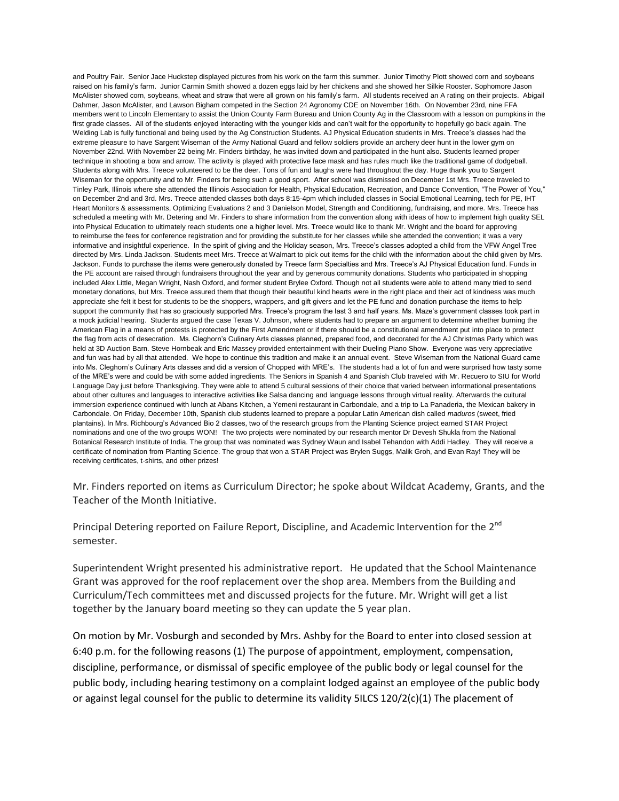and Poultry Fair. Senior Jace Huckstep displayed pictures from his work on the farm this summer. Junior Timothy Plott showed corn and soybeans raised on his family's farm. Junior Carmin Smith showed a dozen eggs laid by her chickens and she showed her Silkie Rooster. Sophomore Jason McAlister showed corn, soybeans, wheat and straw that were all grown on his family's farm. All students received an A rating on their projects. Abigail Dahmer, Jason McAlister, and Lawson Bigham competed in the Section 24 Agronomy CDE on November 16th. On November 23rd, nine FFA members went to Lincoln Elementary to assist the Union County Farm Bureau and Union County Ag in the Classroom with a lesson on pumpkins in the first grade classes. All of the students enjoyed interacting with the younger kids and can't wait for the opportunity to hopefully go back again. The Welding Lab is fully functional and being used by the Ag Construction Students. AJ Physical Education students in Mrs. Treece's classes had the extreme pleasure to have Sargent Wiseman of the Army National Guard and fellow soldiers provide an archery deer hunt in the lower gym on November 22nd. With November 22 being Mr. Finders birthday, he was invited down and participated in the hunt also. Students learned proper technique in shooting a bow and arrow. The activity is played with protective face mask and has rules much like the traditional game of dodgeball. Students along with Mrs. Treece volunteered to be the deer. Tons of fun and laughs were had throughout the day. Huge thank you to Sargent Wiseman for the opportunity and to Mr. Finders for being such a good sport. After school was dismissed on December 1st Mrs. Treece traveled to Tinley Park, Illinois where she attended the Illinois Association for Health, Physical Education, Recreation, and Dance Convention, "The Power of You," on December 2nd and 3rd. Mrs. Treece attended classes both days 8:15-4pm which included classes in Social Emotional Learning, tech for PE, IHT Heart Monitors & assessments, Optimizing Evaluations 2 and 3 Danielson Model, Strength and Conditioning, fundraising, and more. Mrs. Treece has scheduled a meeting with Mr. Detering and Mr. Finders to share information from the convention along with ideas of how to implement high quality SEL into Physical Education to ultimately reach students one a higher level. Mrs. Treece would like to thank Mr. Wright and the board for approving to reimburse the fees for conference registration and for providing the substitute for her classes while she attended the convention; it was a very informative and insightful experience. In the spirit of giving and the Holiday season, Mrs. Treece's classes adopted a child from the VFW Angel Tree directed by Mrs. Linda Jackson. Students meet Mrs. Treece at Walmart to pick out items for the child with the information about the child given by Mrs. Jackson. Funds to purchase the items were generously donated by Treece farm Specialties and Mrs. Treece's AJ Physical Education fund. Funds in the PE account are raised through fundraisers throughout the year and by generous community donations. Students who participated in shopping included Alex Little, Megan Wright, Nash Oxford, and former student Brylee Oxford. Though not all students were able to attend many tried to send monetary donations, but Mrs. Treece assured them that though their beautiful kind hearts were in the right place and their act of kindness was much appreciate she felt it best for students to be the shoppers, wrappers, and gift givers and let the PE fund and donation purchase the items to help support the community that has so graciously supported Mrs. Treece's program the last 3 and half years. Ms. Maze's government classes took part in a mock judicial hearing. Students argued the case Texas V. Johnson, where students had to prepare an argument to determine whether burning the American Flag in a means of protests is protected by the First Amendment or if there should be a constitutional amendment put into place to protect the flag from acts of desecration. Ms. Cleghorn's Culinary Arts classes planned, prepared food, and decorated for the AJ Christmas Party which was held at 3D Auction Barn. Steve Hornbeak and Eric Massey provided entertainment with their Dueling Piano Show. Everyone was very appreciative and fun was had by all that attended. We hope to continue this tradition and make it an annual event. Steve Wiseman from the National Guard came into Ms. Cleghorn's Culinary Arts classes and did a version of Chopped with MRE's. The students had a lot of fun and were surprised how tasty some of the MRE's were and could be with some added ingredients. The Seniors in Spanish 4 and Spanish Club traveled with Mr. Recuero to SIU for World Language Day just before Thanksgiving. They were able to attend 5 cultural sessions of their choice that varied between informational presentations about other cultures and languages to interactive activities like Salsa dancing and language lessons through virtual reality. Afterwards the cultural immersion experience continued with lunch at Abans Kitchen, a Yemeni restaurant in Carbondale, and a trip to La Panaderia, the Mexican bakery in Carbondale. On Friday, December 10th, Spanish club students learned to prepare a popular Latin American dish called *maduros* (sweet, fried plantains). In Mrs. Richbourg's Advanced Bio 2 classes, two of the research groups from the Planting Science project earned STAR Project nominations and one of the two groups WON!! The two projects were nominated by our research mentor Dr Devesh Shukla from the National Botanical Research Institute of India. The group that was nominated was Sydney Waun and Isabel Tehandon with Addi Hadley. They will receive a certificate of nomination from Planting Science. The group that won a STAR Project was Brylen Suggs, Malik Groh, and Evan Ray! They will be receiving certificates, t-shirts, and other prizes!

Mr. Finders reported on items as Curriculum Director; he spoke about Wildcat Academy, Grants, and the Teacher of the Month Initiative.

Principal Detering reported on Failure Report, Discipline, and Academic Intervention for the 2<sup>nd</sup> semester.

Superintendent Wright presented his administrative report. He updated that the School Maintenance Grant was approved for the roof replacement over the shop area. Members from the Building and Curriculum/Tech committees met and discussed projects for the future. Mr. Wright will get a list together by the January board meeting so they can update the 5 year plan.

On motion by Mr. Vosburgh and seconded by Mrs. Ashby for the Board to enter into closed session at 6:40 p.m. for the following reasons (1) The purpose of appointment, employment, compensation, discipline, performance, or dismissal of specific employee of the public body or legal counsel for the public body, including hearing testimony on a complaint lodged against an employee of the public body or against legal counsel for the public to determine its validity 5ILCS  $120/2(c)(1)$  The placement of